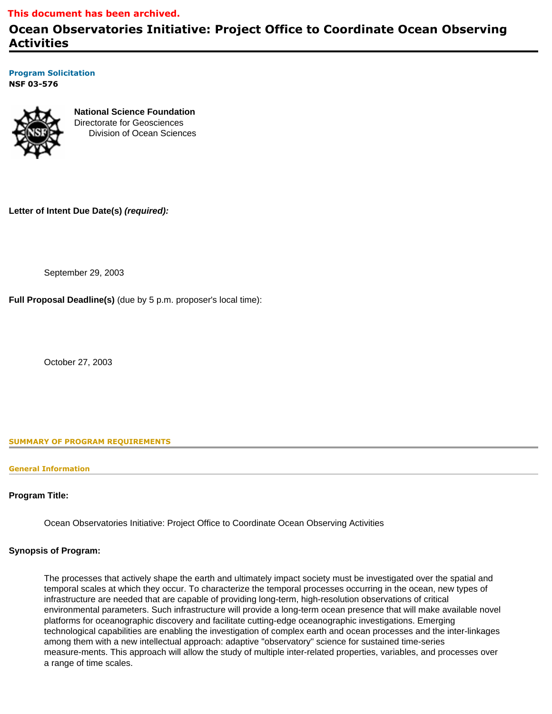## **This document has been archived.**

# **Ocean Observatories Initiative: Project Office to Coordinate Ocean Observing Activities**

**[Program Solicitation](#page-2-0)  NSF 03-576** 



**National Science Foundation** Directorate for Geosciences Division of Ocean Sciences

**Letter of Intent Due Date(s)** *(required):*

September 29, 2003

**Full Proposal Deadline(s)** (due by 5 p.m. proposer's local time):

October 27, 2003

## <span id="page-0-0"></span>**SUMMARY OF PROGRAM REQUIREMENTS**

**General Information**

## **Program Title:**

Ocean Observatories Initiative: Project Office to Coordinate Ocean Observing Activities

## **Synopsis of Program:**

The processes that actively shape the earth and ultimately impact society must be investigated over the spatial and temporal scales at which they occur. To characterize the temporal processes occurring in the ocean, new types of infrastructure are needed that are capable of providing long-term, high-resolution observations of critical environmental parameters. Such infrastructure will provide a long-term ocean presence that will make available novel platforms for oceanographic discovery and facilitate cutting-edge oceanographic investigations. Emerging technological capabilities are enabling the investigation of complex earth and ocean processes and the inter-linkages among them with a new intellectual approach: adaptive "observatory" science for sustained time-series measure-ments. This approach will allow the study of multiple inter-related properties, variables, and processes over a range of time scales.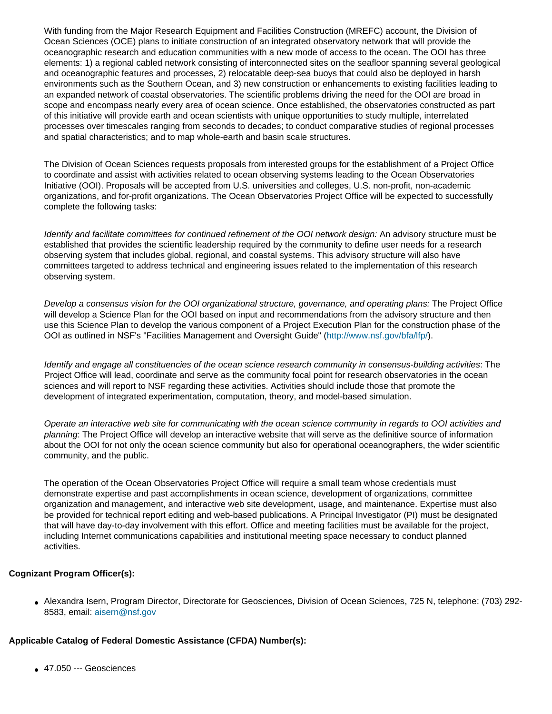With funding from the Major Research Equipment and Facilities Construction (MREFC) account, the Division of Ocean Sciences (OCE) plans to initiate construction of an integrated observatory network that will provide the oceanographic research and education communities with a new mode of access to the ocean. The OOI has three elements: 1) a regional cabled network consisting of interconnected sites on the seafloor spanning several geological and oceanographic features and processes, 2) relocatable deep-sea buoys that could also be deployed in harsh environments such as the Southern Ocean, and 3) new construction or enhancements to existing facilities leading to an expanded network of coastal observatories. The scientific problems driving the need for the OOI are broad in scope and encompass nearly every area of ocean science. Once established, the observatories constructed as part of this initiative will provide earth and ocean scientists with unique opportunities to study multiple, interrelated processes over timescales ranging from seconds to decades; to conduct comparative studies of regional processes and spatial characteristics; and to map whole-earth and basin scale structures.

The Division of Ocean Sciences requests proposals from interested groups for the establishment of a Project Office to coordinate and assist with activities related to ocean observing systems leading to the Ocean Observatories Initiative (OOI). Proposals will be accepted from U.S. universities and colleges, U.S. non-profit, non-academic organizations, and for-profit organizations. The Ocean Observatories Project Office will be expected to successfully complete the following tasks:

*Identify and facilitate committees for continued refinement of the OOI network design:* An advisory structure must be established that provides the scientific leadership required by the community to define user needs for a research observing system that includes global, regional, and coastal systems. This advisory structure will also have committees targeted to address technical and engineering issues related to the implementation of this research observing system.

*Develop a consensus vision for the OOI organizational structure, governance, and operating plans:* The Project Office will develop a Science Plan for the OOI based on input and recommendations from the advisory structure and then use this Science Plan to develop the various component of a Project Execution Plan for the construction phase of the OOI as outlined in NSF's "Facilities Management and Oversight Guide" ([http://www.nsf.gov/bfa/lfp/\)](http://www.nsf.gov/bfa/lfp/).

*Identify and engage all constituencies of the ocean science research community in consensus-building activities*: The Project Office will lead, coordinate and serve as the community focal point for research observatories in the ocean sciences and will report to NSF regarding these activities. Activities should include those that promote the development of integrated experimentation, computation, theory, and model-based simulation.

*Operate an interactive web site for communicating with the ocean science community in regards to OOI activities and planning*: The Project Office will develop an interactive website that will serve as the definitive source of information about the OOI for not only the ocean science community but also for operational oceanographers, the wider scientific community, and the public.

The operation of the Ocean Observatories Project Office will require a small team whose credentials must demonstrate expertise and past accomplishments in ocean science, development of organizations, committee organization and management, and interactive web site development, usage, and maintenance. Expertise must also be provided for technical report editing and web-based publications. A Principal Investigator (PI) must be designated that will have day-to-day involvement with this effort. Office and meeting facilities must be available for the project, including Internet communications capabilities and institutional meeting space necessary to conduct planned activities.

## **Cognizant Program Officer(s):**

● Alexandra Isern, Program Director, Directorate for Geosciences, Division of Ocean Sciences, 725 N, telephone: (703) 292- 8583, email: [aisern@nsf.gov](mailto:aisern@nsf.gov)

## **Applicable Catalog of Federal Domestic Assistance (CFDA) Number(s):**

 $\bullet$  47.050 --- Geosciences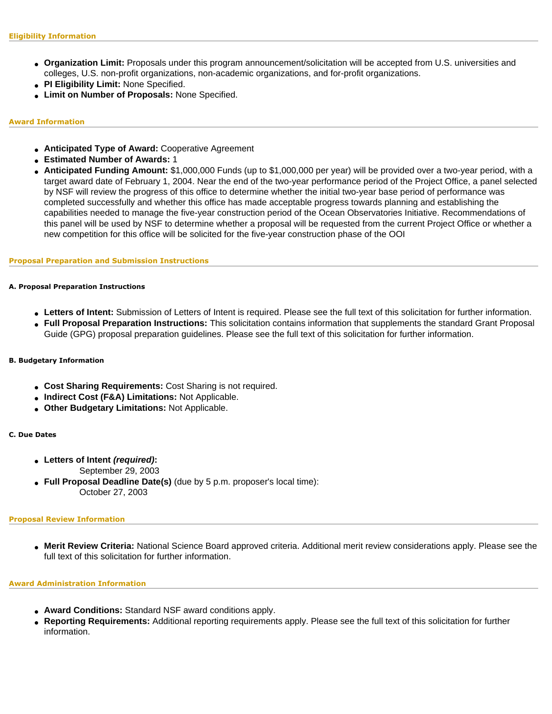- **Organization Limit:** Proposals under this program announcement/solicitation will be accepted from U.S. universities and colleges, U.S. non-profit organizations, non-academic organizations, and for-profit organizations.
- **PI Eligibility Limit:** None Specified.
- **Limit on Number of Proposals:** None Specified.

#### **Award Information**

- **Anticipated Type of Award:** Cooperative Agreement
- **Estimated Number of Awards:** 1
- **Anticipated Funding Amount:** \$1,000,000 Funds (up to \$1,000,000 per year) will be provided over a two-year period, with a target award date of February 1, 2004. Near the end of the two-year performance period of the Project Office, a panel selected by NSF will review the progress of this office to determine whether the initial two-year base period of performance was completed successfully and whether this office has made acceptable progress towards planning and establishing the capabilities needed to manage the five-year construction period of the Ocean Observatories Initiative. Recommendations of this panel will be used by NSF to determine whether a proposal will be requested from the current Project Office or whether a new competition for this office will be solicited for the five-year construction phase of the OOI

#### **Proposal Preparation and Submission Instructions**

#### **A. Proposal Preparation Instructions**

- Letters of Intent: Submission of Letters of Intent is required. Please see the full text of this solicitation for further information.
- **Full Proposal Preparation Instructions:** This solicitation contains information that supplements the standard Grant Proposal Guide (GPG) proposal preparation guidelines. Please see the full text of this solicitation for further information.

#### **B. Budgetary Information**

- **Cost Sharing Requirements:** Cost Sharing is not required.
- **Indirect Cost (F&A) Limitations:** Not Applicable.
- **Other Budgetary Limitations:** Not Applicable.

#### **C. Due Dates**

- **Letters of Intent** *(required)***:**
	- September 29, 2003
- **Full Proposal Deadline Date(s)** (due by 5 p.m. proposer's local time): October 27, 2003

#### **Proposal Review Information**

● **Merit Review Criteria:** National Science Board approved criteria. Additional merit review considerations apply. Please see the full text of this solicitation for further information.

#### **Award Administration Information**

- **Award Conditions:** Standard NSF award conditions apply.
- <span id="page-2-0"></span>● **Reporting Requirements:** Additional reporting requirements apply. Please see the full text of this solicitation for further information.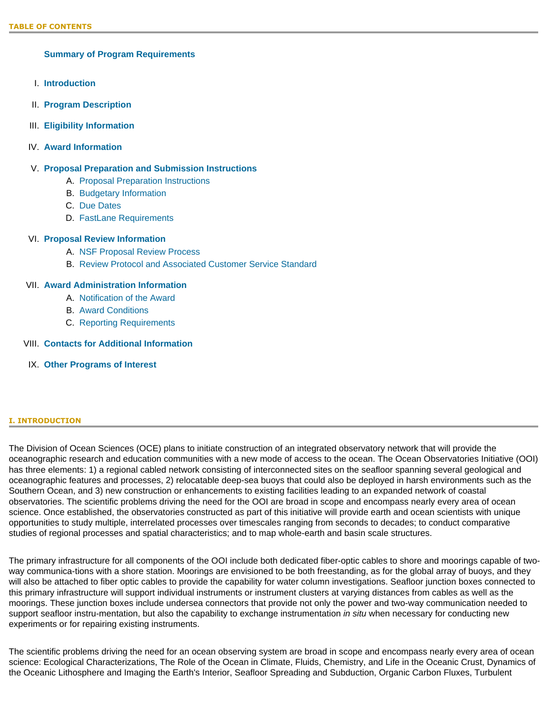## **[Summary of Program Requirements](#page-0-0)**

- I. **[Introduction](#page-3-0)**
- II. **[Program Description](#page-4-0)**
- III. **[Eligibility Information](#page-7-0)**
- IV. **[Award Information](#page-7-1)**

### V. **[Proposal Preparation and Submission Instructions](#page-7-2)**

- A. [Proposal Preparation Instructions](#page-7-2)
- B. [Budgetary Information](#page-9-0)
- C. [Due Dates](#page-9-1)
- D. [FastLane Requirements](#page-9-2)

### VI. **[Proposal Review Information](#page-10-0)**

- A. [NSF Proposal Review Process](#page-10-1)
- B. [Review Protocol and Associated Customer Service Standard](#page-11-0)

## VII. **[Award Administration Information](#page-11-1)**

- A. [Notification of the Award](#page-11-2)
- B. [Award Conditions](#page-11-3)
- C. [Reporting Requirements](#page-12-0)

## VIII. **[Contacts for Additional Information](#page-12-1)**

<span id="page-3-0"></span>IX. **[Other Programs of Interest](#page-12-2)**

## **I. INTRODUCTION**

The Division of Ocean Sciences (OCE) plans to initiate construction of an integrated observatory network that will provide the oceanographic research and education communities with a new mode of access to the ocean. The Ocean Observatories Initiative (OOI) has three elements: 1) a regional cabled network consisting of interconnected sites on the seafloor spanning several geological and oceanographic features and processes, 2) relocatable deep-sea buoys that could also be deployed in harsh environments such as the Southern Ocean, and 3) new construction or enhancements to existing facilities leading to an expanded network of coastal observatories. The scientific problems driving the need for the OOI are broad in scope and encompass nearly every area of ocean science. Once established, the observatories constructed as part of this initiative will provide earth and ocean scientists with unique opportunities to study multiple, interrelated processes over timescales ranging from seconds to decades; to conduct comparative studies of regional processes and spatial characteristics; and to map whole-earth and basin scale structures.

The primary infrastructure for all components of the OOI include both dedicated fiber-optic cables to shore and moorings capable of twoway communica-tions with a shore station. Moorings are envisioned to be both freestanding, as for the global array of buoys, and they will also be attached to fiber optic cables to provide the capability for water column investigations. Seafloor junction boxes connected to this primary infrastructure will support individual instruments or instrument clusters at varying distances from cables as well as the moorings. These junction boxes include undersea connectors that provide not only the power and two-way communication needed to support seafloor instru-mentation, but also the capability to exchange instrumentation *in situ* when necessary for conducting new experiments or for repairing existing instruments.

The scientific problems driving the need for an ocean observing system are broad in scope and encompass nearly every area of ocean science: Ecological Characterizations, The Role of the Ocean in Climate, Fluids, Chemistry, and Life in the Oceanic Crust, Dynamics of the Oceanic Lithosphere and Imaging the Earth's Interior, Seafloor Spreading and Subduction, Organic Carbon Fluxes, Turbulent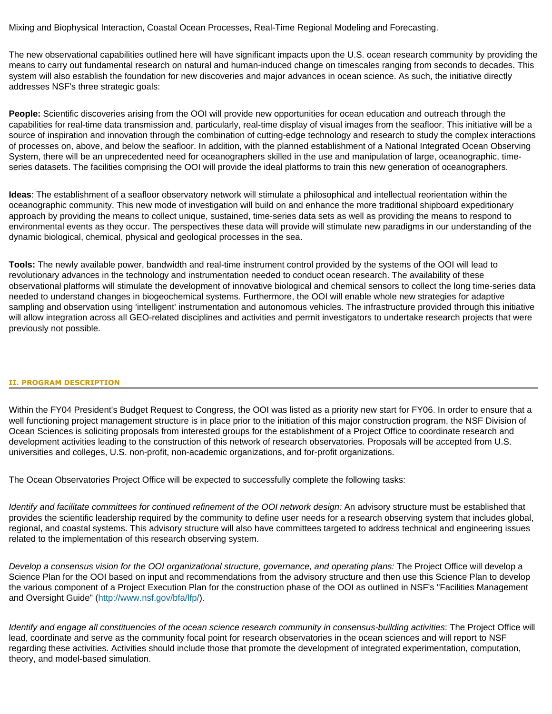Mixing and Biophysical Interaction, Coastal Ocean Processes, Real-Time Regional Modeling and Forecasting.

The new observational capabilities outlined here will have significant impacts upon the U.S. ocean research community by providing the means to carry out fundamental research on natural and human-induced change on timescales ranging from seconds to decades. This system will also establish the foundation for new discoveries and major advances in ocean science. As such, the initiative directly addresses NSF's three strategic goals:

**People:** Scientific discoveries arising from the OOI will provide new opportunities for ocean education and outreach through the capabilities for real-time data transmission and, particularly, real-time display of visual images from the seafloor. This initiative will be a source of inspiration and innovation through the combination of cutting-edge technology and research to study the complex interactions of processes on, above, and below the seafloor. In addition, with the planned establishment of a National Integrated Ocean Observing System, there will be an unprecedented need for oceanographers skilled in the use and manipulation of large, oceanographic, timeseries datasets. The facilities comprising the OOI will provide the ideal platforms to train this new generation of oceanographers.

**Ideas**: The establishment of a seafloor observatory network will stimulate a philosophical and intellectual reorientation within the oceanographic community. This new mode of investigation will build on and enhance the more traditional shipboard expeditionary approach by providing the means to collect unique, sustained, time-series data sets as well as providing the means to respond to environmental events as they occur. The perspectives these data will provide will stimulate new paradigms in our understanding of the dynamic biological, chemical, physical and geological processes in the sea.

**Tools:** The newly available power, bandwidth and real-time instrument control provided by the systems of the OOI will lead to revolutionary advances in the technology and instrumentation needed to conduct ocean research. The availability of these observational platforms will stimulate the development of innovative biological and chemical sensors to collect the long time-series data needed to understand changes in biogeochemical systems. Furthermore, the OOI will enable whole new strategies for adaptive sampling and observation using 'intelligent' instrumentation and autonomous vehicles. The infrastructure provided through this initiative will allow integration across all GEO-related disciplines and activities and permit investigators to undertake research projects that were previously not possible.

## <span id="page-4-0"></span>**II. PROGRAM DESCRIPTION**

Within the FY04 President's Budget Request to Congress, the OOI was listed as a priority new start for FY06. In order to ensure that a well functioning project management structure is in place prior to the initiation of this major construction program, the NSF Division of Ocean Sciences is soliciting proposals from interested groups for the establishment of a Project Office to coordinate research and development activities leading to the construction of this network of research observatories. Proposals will be accepted from U.S. universities and colleges, U.S. non-profit, non-academic organizations, and for-profit organizations.

The Ocean Observatories Project Office will be expected to successfully complete the following tasks:

*Identify and facilitate committees for continued refinement of the OOI network design:* An advisory structure must be established that provides the scientific leadership required by the community to define user needs for a research observing system that includes global, regional, and coastal systems. This advisory structure will also have committees targeted to address technical and engineering issues related to the implementation of this research observing system.

*Develop a consensus vision for the OOI organizational structure, governance, and operating plans:* The Project Office will develop a Science Plan for the OOI based on input and recommendations from the advisory structure and then use this Science Plan to develop the various component of a Project Execution Plan for the construction phase of the OOI as outlined in NSF's "Facilities Management and Oversight Guide" [\(http://www.nsf.gov/bfa/lfp/](http://www.nsf.gov/bfa/lfp/)).

*Identify and engage all constituencies of the ocean science research community in consensus-building activities*: The Project Office will lead, coordinate and serve as the community focal point for research observatories in the ocean sciences and will report to NSF regarding these activities. Activities should include those that promote the development of integrated experimentation, computation, theory, and model-based simulation.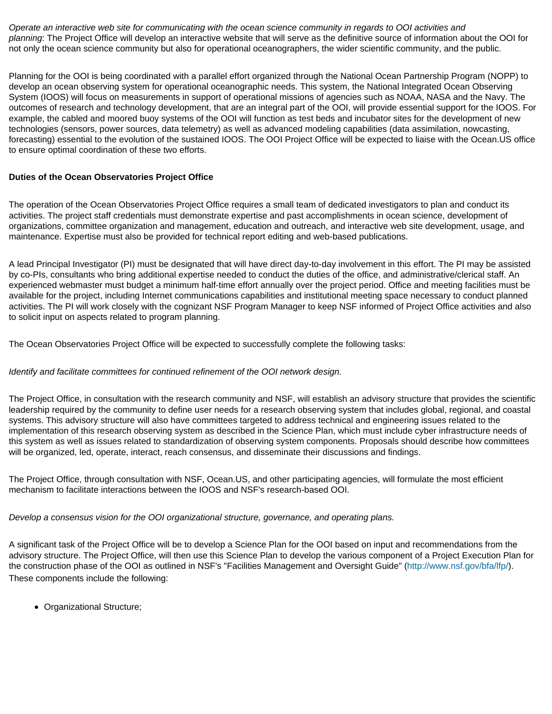*Operate an interactive web site for communicating with the ocean science community in regards to OOI activities and planning*: The Project Office will develop an interactive website that will serve as the definitive source of information about the OOI for not only the ocean science community but also for operational oceanographers, the wider scientific community, and the public.

Planning for the OOI is being coordinated with a parallel effort organized through the National Ocean Partnership Program (NOPP) to develop an ocean observing system for operational oceanographic needs. This system, the National Integrated Ocean Observing System (IOOS) will focus on measurements in support of operational missions of agencies such as NOAA, NASA and the Navy. The outcomes of research and technology development, that are an integral part of the OOI, will provide essential support for the IOOS. For example, the cabled and moored buoy systems of the OOI will function as test beds and incubator sites for the development of new technologies (sensors, power sources, data telemetry) as well as advanced modeling capabilities (data assimilation, nowcasting, forecasting) essential to the evolution of the sustained IOOS. The OOI Project Office will be expected to liaise with the Ocean.US office to ensure optimal coordination of these two efforts.

## **Duties of the Ocean Observatories Project Office**

The operation of the Ocean Observatories Project Office requires a small team of dedicated investigators to plan and conduct its activities. The project staff credentials must demonstrate expertise and past accomplishments in ocean science, development of organizations, committee organization and management, education and outreach, and interactive web site development, usage, and maintenance. Expertise must also be provided for technical report editing and web-based publications.

A lead Principal Investigator (PI) must be designated that will have direct day-to-day involvement in this effort. The PI may be assisted by co-PIs, consultants who bring additional expertise needed to conduct the duties of the office, and administrative/clerical staff. An experienced webmaster must budget a minimum half-time effort annually over the project period. Office and meeting facilities must be available for the project, including Internet communications capabilities and institutional meeting space necessary to conduct planned activities. The PI will work closely with the cognizant NSF Program Manager to keep NSF informed of Project Office activities and also to solicit input on aspects related to program planning.

The Ocean Observatories Project Office will be expected to successfully complete the following tasks:

## *Identify and facilitate committees for continued refinement of the OOI network design.*

The Project Office, in consultation with the research community and NSF, will establish an advisory structure that provides the scientific leadership required by the community to define user needs for a research observing system that includes global, regional, and coastal systems. This advisory structure will also have committees targeted to address technical and engineering issues related to the implementation of this research observing system as described in the Science Plan, which must include cyber infrastructure needs of this system as well as issues related to standardization of observing system components. Proposals should describe how committees will be organized, led, operate, interact, reach consensus, and disseminate their discussions and findings.

The Project Office, through consultation with NSF, Ocean.US, and other participating agencies, will formulate the most efficient mechanism to facilitate interactions between the IOOS and NSF's research-based OOI.

*Develop a consensus vision for the OOI organizational structure, governance, and operating plans.*

A significant task of the Project Office will be to develop a Science Plan for the OOI based on input and recommendations from the advisory structure. The Project Office, will then use this Science Plan to develop the various component of a Project Execution Plan for the construction phase of the OOI as outlined in NSF's "Facilities Management and Oversight Guide" ([http://www.nsf.gov/bfa/lfp/\)](http://www.nsf.gov/bfa/lfp/). These components include the following:

• Organizational Structure;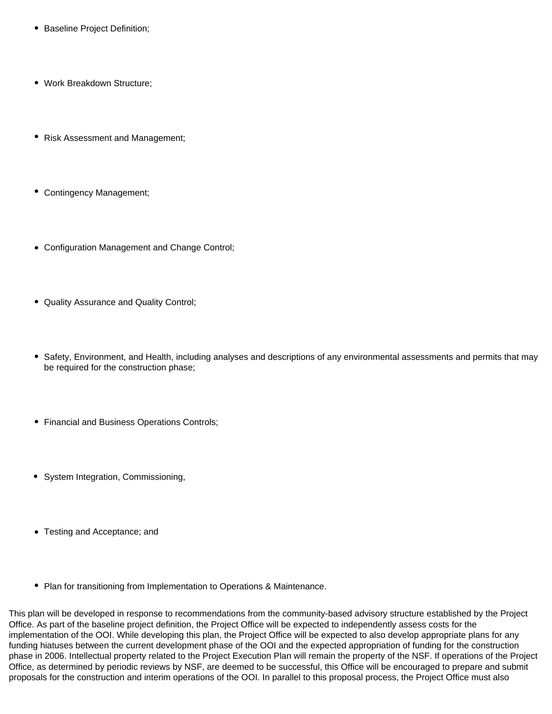- Baseline Project Definition; ●
- Work Breakdown Structure;
- Risk Assessment and Management;
- **Contingency Management;**
- Configuration Management and Change Control;
- Quality Assurance and Quality Control;
- Safety, Environment, and Health, including analyses and descriptions of any environmental assessments and permits that may be required for the construction phase;
- Financial and Business Operations Controls;
- System Integration, Commissioning,
- Testing and Acceptance; and
- Plan for transitioning from Implementation to Operations & Maintenance.

This plan will be developed in response to recommendations from the community-based advisory structure established by the Project Office. As part of the baseline project definition, the Project Office will be expected to independently assess costs for the implementation of the OOI. While developing this plan, the Project Office will be expected to also develop appropriate plans for any funding hiatuses between the current development phase of the OOI and the expected appropriation of funding for the construction phase in 2006. Intellectual property related to the Project Execution Plan will remain the property of the NSF. If operations of the Project Office, as determined by periodic reviews by NSF, are deemed to be successful, this Office will be encouraged to prepare and submit proposals for the construction and interim operations of the OOI. In parallel to this proposal process, the Project Office must also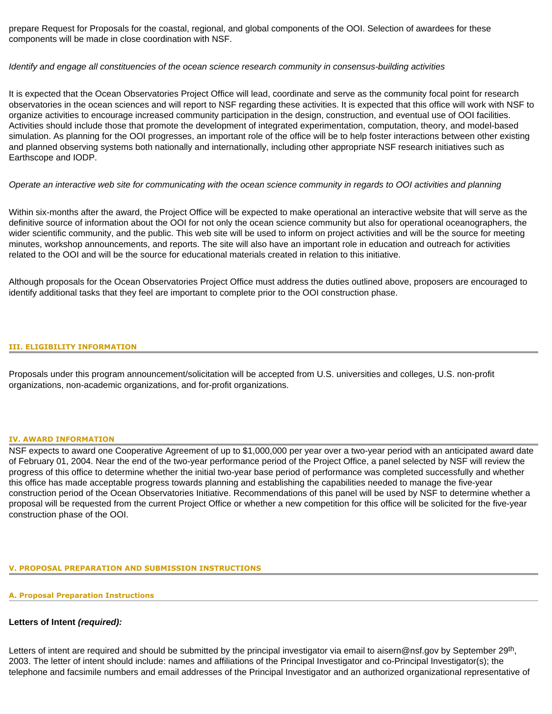prepare Request for Proposals for the coastal, regional, and global components of the OOI. Selection of awardees for these components will be made in close coordination with NSF.

#### *Identify and engage all constituencies of the ocean science research community in consensus-building activities*

It is expected that the Ocean Observatories Project Office will lead, coordinate and serve as the community focal point for research observatories in the ocean sciences and will report to NSF regarding these activities. It is expected that this office will work with NSF to organize activities to encourage increased community participation in the design, construction, and eventual use of OOI facilities. Activities should include those that promote the development of integrated experimentation, computation, theory, and model-based simulation. As planning for the OOI progresses, an important role of the office will be to help foster interactions between other existing and planned observing systems both nationally and internationally, including other appropriate NSF research initiatives such as Earthscope and IODP.

#### *Operate an interactive web site for communicating with the ocean science community in regards to OOI activities and planning*

Within six-months after the award, the Project Office will be expected to make operational an interactive website that will serve as the definitive source of information about the OOI for not only the ocean science community but also for operational oceanographers, the wider scientific community, and the public. This web site will be used to inform on project activities and will be the source for meeting minutes, workshop announcements, and reports. The site will also have an important role in education and outreach for activities related to the OOI and will be the source for educational materials created in relation to this initiative.

<span id="page-7-0"></span>Although proposals for the Ocean Observatories Project Office must address the duties outlined above, proposers are encouraged to identify additional tasks that they feel are important to complete prior to the OOI construction phase.

#### **III. ELIGIBILITY INFORMATION**

<span id="page-7-1"></span>Proposals under this program announcement/solicitation will be accepted from U.S. universities and colleges, U.S. non-profit organizations, non-academic organizations, and for-profit organizations.

#### **IV. AWARD INFORMATION**

NSF expects to award one Cooperative Agreement of up to \$1,000,000 per year over a two-year period with an anticipated award date of February 01, 2004. Near the end of the two-year performance period of the Project Office, a panel selected by NSF will review the progress of this office to determine whether the initial two-year base period of performance was completed successfully and whether this office has made acceptable progress towards planning and establishing the capabilities needed to manage the five-year construction period of the Ocean Observatories Initiative. Recommendations of this panel will be used by NSF to determine whether a proposal will be requested from the current Project Office or whether a new competition for this office will be solicited for the five-year construction phase of the OOI.

#### <span id="page-7-2"></span>**V. PROPOSAL PREPARATION AND SUBMISSION INSTRUCTIONS**

#### **A. Proposal Preparation Instructions**

#### **Letters of Intent** *(required):*

Letters of intent are required and should be submitted by the principal investigator via email to aisern@nsf.gov by September 29<sup>th</sup>, 2003. The letter of intent should include: names and affiliations of the Principal Investigator and co-Principal Investigator(s); the telephone and facsimile numbers and email addresses of the Principal Investigator and an authorized organizational representative of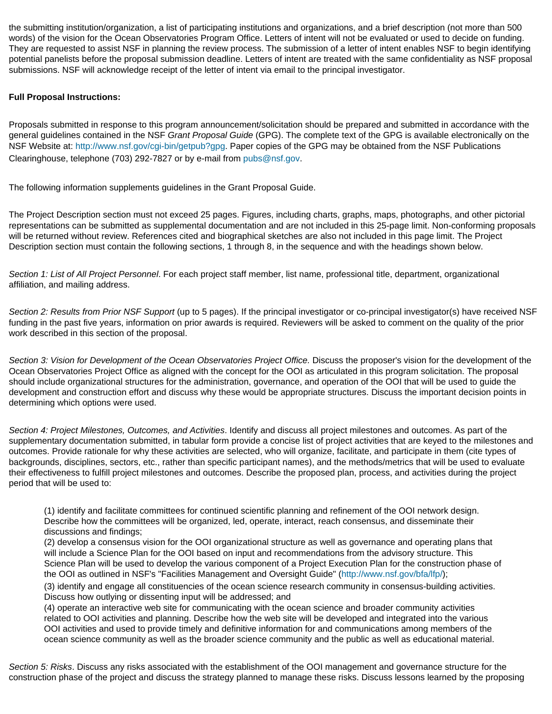the submitting institution/organization, a list of participating institutions and organizations, and a brief description (not more than 500 words) of the vision for the Ocean Observatories Program Office. Letters of intent will not be evaluated or used to decide on funding. They are requested to assist NSF in planning the review process. The submission of a letter of intent enables NSF to begin identifying potential panelists before the proposal submission deadline. Letters of intent are treated with the same confidentiality as NSF proposal submissions. NSF will acknowledge receipt of the letter of intent via email to the principal investigator.

## **Full Proposal Instructions:**

Proposals submitted in response to this program announcement/solicitation should be prepared and submitted in accordance with the general guidelines contained in the NSF *Grant Proposal Guide* (GPG). The complete text of the GPG is available electronically on the NSF Website at: [http://www.nsf.gov/cgi-bin/getpub?gpg.](http://www.nsf.gov/cgi-bin/getpub?gpg) Paper copies of the GPG may be obtained from the NSF Publications Clearinghouse, telephone (703) 292-7827 or by e-mail from [pubs@nsf.gov.](mailto:pubs@nsf.gov)

The following information supplements guidelines in the Grant Proposal Guide.

The Project Description section must not exceed 25 pages. Figures, including charts, graphs, maps, photographs, and other pictorial representations can be submitted as supplemental documentation and are not included in this 25-page limit. Non-conforming proposals will be returned without review. References cited and biographical sketches are also not included in this page limit. The Project Description section must contain the following sections, 1 through 8, in the sequence and with the headings shown below.

*Section 1: List of All Project Personnel*. For each project staff member, list name, professional title, department, organizational affiliation, and mailing address.

*Section 2: Results from Prior NSF Support* (up to 5 pages). If the principal investigator or co-principal investigator(s) have received NSF funding in the past five years, information on prior awards is required. Reviewers will be asked to comment on the quality of the prior work described in this section of the proposal.

*Section 3: Vision for Development of the Ocean Observatories Project Office.* Discuss the proposer's vision for the development of the Ocean Observatories Project Office as aligned with the concept for the OOI as articulated in this program solicitation. The proposal should include organizational structures for the administration, governance, and operation of the OOI that will be used to guide the development and construction effort and discuss why these would be appropriate structures. Discuss the important decision points in determining which options were used.

*Section 4: Project Milestones, Outcomes, and Activities*. Identify and discuss all project milestones and outcomes. As part of the supplementary documentation submitted, in tabular form provide a concise list of project activities that are keyed to the milestones and outcomes. Provide rationale for why these activities are selected, who will organize, facilitate, and participate in them (cite types of backgrounds, disciplines, sectors, etc., rather than specific participant names), and the methods/metrics that will be used to evaluate their effectiveness to fulfill project milestones and outcomes. Describe the proposed plan, process, and activities during the project period that will be used to:

(1) identify and facilitate committees for continued scientific planning and refinement of the OOI network design. Describe how the committees will be organized, led, operate, interact, reach consensus, and disseminate their discussions and findings;

(2) develop a consensus vision for the OOI organizational structure as well as governance and operating plans that will include a Science Plan for the OOI based on input and recommendations from the advisory structure. This Science Plan will be used to develop the various component of a Project Execution Plan for the construction phase of the OOI as outlined in NSF's "Facilities Management and Oversight Guide" ([http://www.nsf.gov/bfa/lfp/\);](http://www.nsf.gov/bfa/lfp/)

(3) identify and engage all constituencies of the ocean science research community in consensus-building activities. Discuss how outlying or dissenting input will be addressed; and

(4) operate an interactive web site for communicating with the ocean science and broader community activities related to OOI activities and planning. Describe how the web site will be developed and integrated into the various OOI activities and used to provide timely and definitive information for and communications among members of the ocean science community as well as the broader science community and the public as well as educational material.

*Section 5: Risks*. Discuss any risks associated with the establishment of the OOI management and governance structure for the construction phase of the project and discuss the strategy planned to manage these risks. Discuss lessons learned by the proposing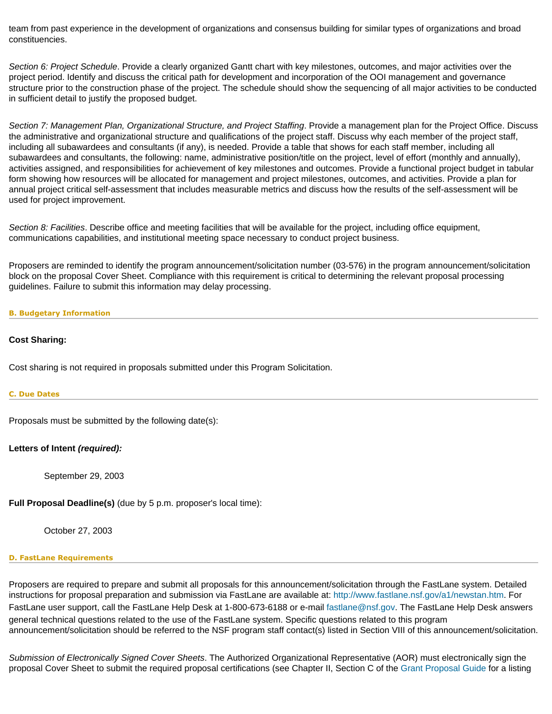team from past experience in the development of organizations and consensus building for similar types of organizations and broad constituencies.

*Section 6: Project Schedule*. Provide a clearly organized Gantt chart with key milestones, outcomes, and major activities over the project period. Identify and discuss the critical path for development and incorporation of the OOI management and governance structure prior to the construction phase of the project. The schedule should show the sequencing of all major activities to be conducted in sufficient detail to justify the proposed budget.

*Section 7: Management Plan, Organizational Structure, and Project Staffing*. Provide a management plan for the Project Office. Discuss the administrative and organizational structure and qualifications of the project staff. Discuss why each member of the project staff, including all subawardees and consultants (if any), is needed. Provide a table that shows for each staff member, including all subawardees and consultants, the following: name, administrative position/title on the project, level of effort (monthly and annually), activities assigned, and responsibilities for achievement of key milestones and outcomes. Provide a functional project budget in tabular form showing how resources will be allocated for management and project milestones, outcomes, and activities. Provide a plan for annual project critical self-assessment that includes measurable metrics and discuss how the results of the self-assessment will be used for project improvement.

*Section 8: Facilities*. Describe office and meeting facilities that will be available for the project, including office equipment, communications capabilities, and institutional meeting space necessary to conduct project business.

Proposers are reminded to identify the program announcement/solicitation number (03-576) in the program announcement/solicitation block on the proposal Cover Sheet. Compliance with this requirement is critical to determining the relevant proposal processing guidelines. Failure to submit this information may delay processing.

#### <span id="page-9-0"></span>**B. Budgetary Information**

### **Cost Sharing:**

<span id="page-9-1"></span>Cost sharing is not required in proposals submitted under this Program Solicitation.

#### **C. Due Dates**

Proposals must be submitted by the following date(s):

#### **Letters of Intent** *(required):*

September 29, 2003

**Full Proposal Deadline(s)** (due by 5 p.m. proposer's local time):

October 27, 2003

#### <span id="page-9-2"></span>**D. FastLane Requirements**

Proposers are required to prepare and submit all proposals for this announcement/solicitation through the FastLane system. Detailed instructions for proposal preparation and submission via FastLane are available at: [http://www.fastlane.nsf.gov/a1/newstan.htm.](http://www.fastlane.nsf.gov/a1/newstan.htm) For FastLane user support, call the FastLane Help Desk at 1-800-673-6188 or e-mail [fastlane@nsf.gov](mailto:fastlane@nsf.gov). The FastLane Help Desk answers general technical questions related to the use of the FastLane system. Specific questions related to this program announcement/solicitation should be referred to the NSF program staff contact(s) listed in Section VIII of this announcement/solicitation.

*Submission of Electronically Signed Cover Sheets*. The Authorized Organizational Representative (AOR) must electronically sign the proposal Cover Sheet to submit the required proposal certifications (see Chapter II, Section C of the [Grant Proposal Guide](http://www.nsf.gov/pubsys/ods/getpub.cfm?gpg) for a listing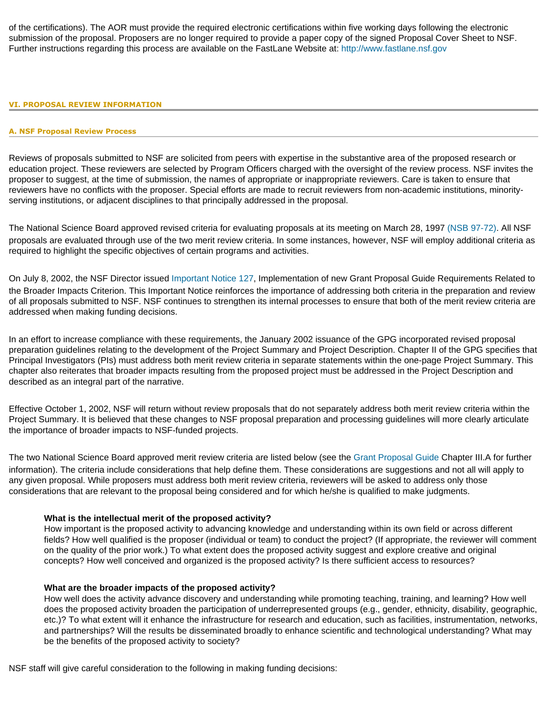<span id="page-10-0"></span>of the certifications). The AOR must provide the required electronic certifications within five working days following the electronic submission of the proposal. Proposers are no longer required to provide a paper copy of the signed Proposal Cover Sheet to NSF. Further instructions regarding this process are available on the FastLane Website at: [http://www.fastlane.nsf.gov](http://www.fastlane.nsf.gov/)

#### <span id="page-10-1"></span>**VI. PROPOSAL REVIEW INFORMATION**

#### **A. NSF Proposal Review Process**

Reviews of proposals submitted to NSF are solicited from peers with expertise in the substantive area of the proposed research or education project. These reviewers are selected by Program Officers charged with the oversight of the review process. NSF invites the proposer to suggest, at the time of submission, the names of appropriate or inappropriate reviewers. Care is taken to ensure that reviewers have no conflicts with the proposer. Special efforts are made to recruit reviewers from non-academic institutions, minorityserving institutions, or adjacent disciplines to that principally addressed in the proposal.

The National Science Board approved revised criteria for evaluating proposals at its meeting on March 28, 1997 [\(NSB 97-72\).](http://www.nsf.gov/pubsys/ods/getpub.cfm?nsb9772) All NSF proposals are evaluated through use of the two merit review criteria. In some instances, however, NSF will employ additional criteria as required to highlight the specific objectives of certain programs and activities.

On July 8, 2002, the NSF Director issued [Important Notice 127](http://www.nsf.gov/pubsys/ods/getpub.cfm?iin127), Implementation of new Grant Proposal Guide Requirements Related to the Broader Impacts Criterion. This Important Notice reinforces the importance of addressing both criteria in the preparation and review of all proposals submitted to NSF. NSF continues to strengthen its internal processes to ensure that both of the merit review criteria are addressed when making funding decisions.

In an effort to increase compliance with these requirements, the January 2002 issuance of the GPG incorporated revised proposal preparation guidelines relating to the development of the Project Summary and Project Description. Chapter II of the GPG specifies that Principal Investigators (PIs) must address both merit review criteria in separate statements within the one-page Project Summary. This chapter also reiterates that broader impacts resulting from the proposed project must be addressed in the Project Description and described as an integral part of the narrative.

Effective October 1, 2002, NSF will return without review proposals that do not separately address both merit review criteria within the Project Summary. It is believed that these changes to NSF proposal preparation and processing guidelines will more clearly articulate the importance of broader impacts to NSF-funded projects.

The two National Science Board approved merit review criteria are listed below (see the [Grant Proposal Guide](http://www.nsf.gov/pubsys/ods/getpub.cfm?gpg) Chapter III.A for further information). The criteria include considerations that help define them. These considerations are suggestions and not all will apply to any given proposal. While proposers must address both merit review criteria, reviewers will be asked to address only those considerations that are relevant to the proposal being considered and for which he/she is qualified to make judgments.

#### **What is the intellectual merit of the proposed activity?**

How important is the proposed activity to advancing knowledge and understanding within its own field or across different fields? How well qualified is the proposer (individual or team) to conduct the project? (If appropriate, the reviewer will comment on the quality of the prior work.) To what extent does the proposed activity suggest and explore creative and original concepts? How well conceived and organized is the proposed activity? Is there sufficient access to resources?

#### **What are the broader impacts of the proposed activity?**

How well does the activity advance discovery and understanding while promoting teaching, training, and learning? How well does the proposed activity broaden the participation of underrepresented groups (e.g., gender, ethnicity, disability, geographic, etc.)? To what extent will it enhance the infrastructure for research and education, such as facilities, instrumentation, networks, and partnerships? Will the results be disseminated broadly to enhance scientific and technological understanding? What may be the benefits of the proposed activity to society?

NSF staff will give careful consideration to the following in making funding decisions: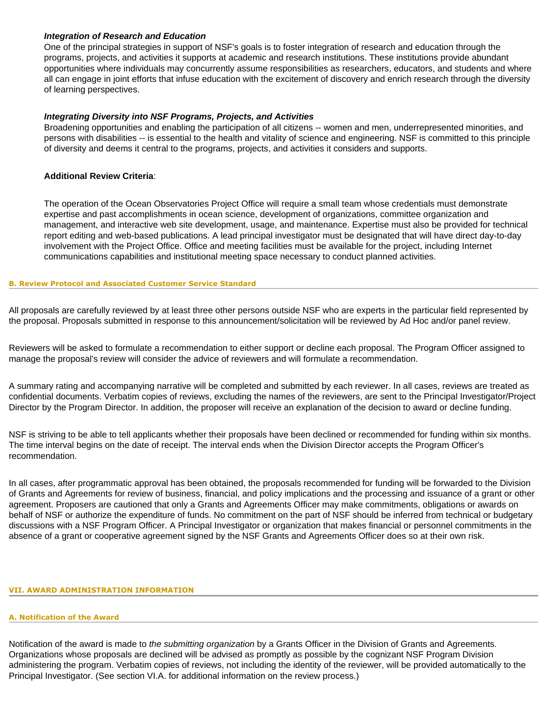## *Integration of Research and Education*

One of the principal strategies in support of NSF's goals is to foster integration of research and education through the programs, projects, and activities it supports at academic and research institutions. These institutions provide abundant opportunities where individuals may concurrently assume responsibilities as researchers, educators, and students and where all can engage in joint efforts that infuse education with the excitement of discovery and enrich research through the diversity of learning perspectives.

## *Integrating Diversity into NSF Programs, Projects, and Activities*

Broadening opportunities and enabling the participation of all citizens -- women and men, underrepresented minorities, and persons with disabilities -- is essential to the health and vitality of science and engineering. NSF is committed to this principle of diversity and deems it central to the programs, projects, and activities it considers and supports.

## **Additional Review Criteria**:

The operation of the Ocean Observatories Project Office will require a small team whose credentials must demonstrate expertise and past accomplishments in ocean science, development of organizations, committee organization and management, and interactive web site development, usage, and maintenance. Expertise must also be provided for technical report editing and web-based publications. A lead principal investigator must be designated that will have direct day-to-day involvement with the Project Office. Office and meeting facilities must be available for the project, including Internet communications capabilities and institutional meeting space necessary to conduct planned activities.

#### <span id="page-11-0"></span>**B. Review Protocol and Associated Customer Service Standard**

All proposals are carefully reviewed by at least three other persons outside NSF who are experts in the particular field represented by the proposal. Proposals submitted in response to this announcement/solicitation will be reviewed by Ad Hoc and/or panel review.

Reviewers will be asked to formulate a recommendation to either support or decline each proposal. The Program Officer assigned to manage the proposal's review will consider the advice of reviewers and will formulate a recommendation.

A summary rating and accompanying narrative will be completed and submitted by each reviewer. In all cases, reviews are treated as confidential documents. Verbatim copies of reviews, excluding the names of the reviewers, are sent to the Principal Investigator/Project Director by the Program Director. In addition, the proposer will receive an explanation of the decision to award or decline funding.

NSF is striving to be able to tell applicants whether their proposals have been declined or recommended for funding within six months. The time interval begins on the date of receipt. The interval ends when the Division Director accepts the Program Officer's recommendation.

In all cases, after programmatic approval has been obtained, the proposals recommended for funding will be forwarded to the Division of Grants and Agreements for review of business, financial, and policy implications and the processing and issuance of a grant or other agreement. Proposers are cautioned that only a Grants and Agreements Officer may make commitments, obligations or awards on behalf of NSF or authorize the expenditure of funds. No commitment on the part of NSF should be inferred from technical or budgetary discussions with a NSF Program Officer. A Principal Investigator or organization that makes financial or personnel commitments in the absence of a grant or cooperative agreement signed by the NSF Grants and Agreements Officer does so at their own risk.

#### <span id="page-11-2"></span><span id="page-11-1"></span>**VII. AWARD ADMINISTRATION INFORMATION**

#### **A. Notification of the Award**

<span id="page-11-3"></span>Notification of the award is made to *the submitting organization* by a Grants Officer in the Division of Grants and Agreements. Organizations whose proposals are declined will be advised as promptly as possible by the cognizant NSF Program Division administering the program. Verbatim copies of reviews, not including the identity of the reviewer, will be provided automatically to the Principal Investigator. (See section VI.A. for additional information on the review process.)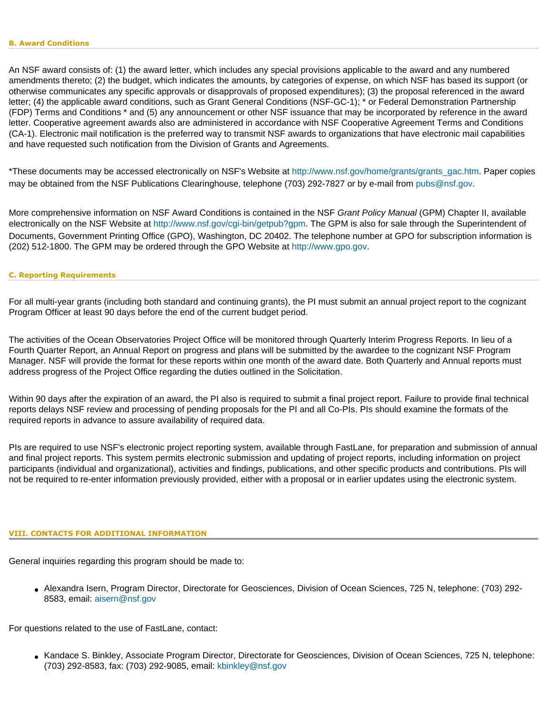An NSF award consists of: (1) the award letter, which includes any special provisions applicable to the award and any numbered amendments thereto; (2) the budget, which indicates the amounts, by categories of expense, on which NSF has based its support (or otherwise communicates any specific approvals or disapprovals of proposed expenditures); (3) the proposal referenced in the award letter; (4) the applicable award conditions, such as Grant General Conditions (NSF-GC-1); \* or Federal Demonstration Partnership (FDP) Terms and Conditions \* and (5) any announcement or other NSF issuance that may be incorporated by reference in the award letter. Cooperative agreement awards also are administered in accordance with NSF Cooperative Agreement Terms and Conditions (CA-1). Electronic mail notification is the preferred way to transmit NSF awards to organizations that have electronic mail capabilities and have requested such notification from the Division of Grants and Agreements.

\*These documents may be accessed electronically on NSF's Website at [http://www.nsf.gov/home/grants/grants\\_gac.htm](http://www.nsf.gov/home/grants/grants_gac.htm). Paper copies may be obtained from the NSF Publications Clearinghouse, telephone (703) 292-7827 or by e-mail from [pubs@nsf.gov](mailto:pubs@nsf.gov).

More comprehensive information on NSF Award Conditions is contained in the NSF *Grant Policy Manual* (GPM) Chapter II, available electronically on the NSF Website at<http://www.nsf.gov/cgi-bin/getpub?gpm>. The GPM is also for sale through the Superintendent of Documents, Government Printing Office (GPO), Washington, DC 20402. The telephone number at GPO for subscription information is (202) 512-1800. The GPM may be ordered through the GPO Website at [http://www.gpo.gov](http://www.gpo.gov/).

#### <span id="page-12-0"></span>**C. Reporting Requirements**

For all multi-year grants (including both standard and continuing grants), the PI must submit an annual project report to the cognizant Program Officer at least 90 days before the end of the current budget period.

The activities of the Ocean Observatories Project Office will be monitored through Quarterly Interim Progress Reports. In lieu of a Fourth Quarter Report, an Annual Report on progress and plans will be submitted by the awardee to the cognizant NSF Program Manager. NSF will provide the format for these reports within one month of the award date. Both Quarterly and Annual reports must address progress of the Project Office regarding the duties outlined in the Solicitation.

Within 90 days after the expiration of an award, the PI also is required to submit a final project report. Failure to provide final technical reports delays NSF review and processing of pending proposals for the PI and all Co-PIs. PIs should examine the formats of the required reports in advance to assure availability of required data.

<span id="page-12-1"></span>PIs are required to use NSF's electronic project reporting system, available through FastLane, for preparation and submission of annual and final project reports. This system permits electronic submission and updating of project reports, including information on project participants (individual and organizational), activities and findings, publications, and other specific products and contributions. PIs will not be required to re-enter information previously provided, either with a proposal or in earlier updates using the electronic system.

#### **VIII. CONTACTS FOR ADDITIONAL INFORMATION**

General inquiries regarding this program should be made to:

● Alexandra Isern, Program Director, Directorate for Geosciences, Division of Ocean Sciences, 725 N, telephone: (703) 292- 8583, email: [aisern@nsf.gov](mailto:aisern@nsf.gov)

For questions related to the use of FastLane, contact:

<span id="page-12-2"></span>• Kandace S. Binkley, Associate Program Director, Directorate for Geosciences, Division of Ocean Sciences, 725 N, telephone: (703) 292-8583, fax: (703) 292-9085, email: [kbinkley@nsf.gov](mailto:kbinkley@nsf.gov)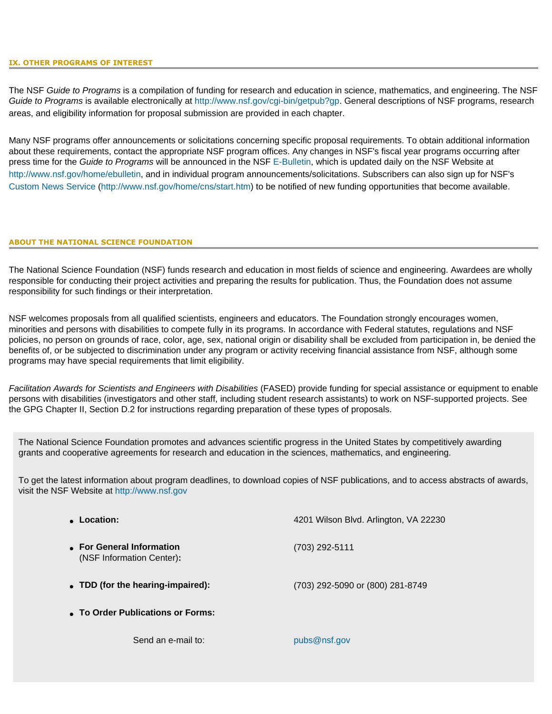The NSF *Guide to Programs* is a compilation of funding for research and education in science, mathematics, and engineering. The NSF *Guide to Programs* is available electronically at [http://www.nsf.gov/cgi-bin/getpub?gp.](http://www.nsf.gov/cgi-bin/getpub?gp) General descriptions of NSF programs, research areas, and eligibility information for proposal submission are provided in each chapter.

Many NSF programs offer announcements or solicitations concerning specific proposal requirements. To obtain additional information about these requirements, contact the appropriate NSF program offices. Any changes in NSF's fiscal year programs occurring after press time for the *Guide to Programs* will be announced in the NSF [E-Bulletin](http://www.nsf.gov/home/ebulletin), which is updated daily on the NSF Website at <http://www.nsf.gov/home/ebulletin>, and in individual program announcements/solicitations. Subscribers can also sign up for NSF's [Custom News Service](http://www.nsf.gov/home/cns/start.htm) [\(http://www.nsf.gov/home/cns/start.htm](http://www.nsf.gov/home/cns/start.htm)) to be notified of new funding opportunities that become available.

### **ABOUT THE NATIONAL SCIENCE FOUNDATION**

The National Science Foundation (NSF) funds research and education in most fields of science and engineering. Awardees are wholly responsible for conducting their project activities and preparing the results for publication. Thus, the Foundation does not assume responsibility for such findings or their interpretation.

NSF welcomes proposals from all qualified scientists, engineers and educators. The Foundation strongly encourages women, minorities and persons with disabilities to compete fully in its programs. In accordance with Federal statutes, regulations and NSF policies, no person on grounds of race, color, age, sex, national origin or disability shall be excluded from participation in, be denied the benefits of, or be subjected to discrimination under any program or activity receiving financial assistance from NSF, although some programs may have special requirements that limit eligibility.

*Facilitation Awards for Scientists and Engineers with Disabilities* (FASED) provide funding for special assistance or equipment to enable persons with disabilities (investigators and other staff, including student research assistants) to work on NSF-supported projects. See the GPG Chapter II, Section D.2 for instructions regarding preparation of these types of proposals.

The National Science Foundation promotes and advances scientific progress in the United States by competitively awarding grants and cooperative agreements for research and education in the sciences, mathematics, and engineering.

To get the latest information about program deadlines, to download copies of NSF publications, and to access abstracts of awards, visit the NSF Website at [http://www.nsf.gov](http://www.nsf.gov/)

| 4201 Wilson Blvd. Arlington, VA 22230 |
|---------------------------------------|
| (703) 292-5111                        |
| (703) 292-5090 or (800) 281-8749      |
|                                       |
|                                       |

Send an e-mail to: [pubs@nsf.gov](mailto:pubs@nsf.gov)